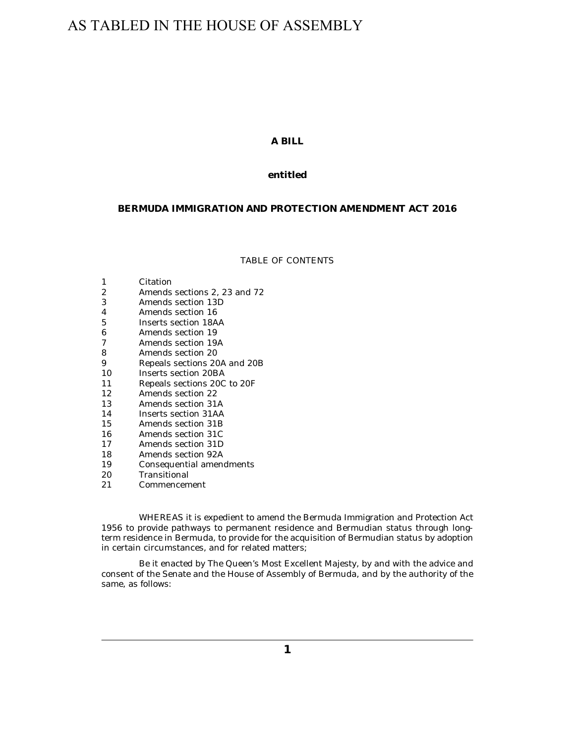# AS TABLED IN THE HOUSE OF ASSEMBLY

# **A BILL**

# **entitled**

## **BERMUDA IMMIGRATION AND PROTECTION AMENDMENT ACT 2016**

#### TABLE OF CONTENTS

#### [Citation](#page-1-0) 1

- [Amends sections 2, 23 and 72](#page-1-0) 2
- [Amends section 13D](#page-1-0) 3
- [Amends section 16](#page-1-0) 4
- [Inserts section 18AA](#page-1-0) 5
- [Amends section 19](#page-3-0) 6
- [Amends section 19A](#page-4-0) 7
- [Amends section 20](#page-4-0) 8
- [Repeals sections 20A and 20B](#page-4-0) 9
- [Inserts section 20BA](#page-4-0) 10
- [Repeals sections 20C to 20F](#page-5-0) 11
- [Amends section 22](#page-5-0) 12
- [Amends section 31A](#page-5-0) 13
- [Inserts section 31AA](#page-5-0) 14
- [Amends section 31B](#page-6-0) 15
- [Amends section 31C](#page-6-0) 16
- [Amends section 31D](#page-7-0) 17
- [Amends section 92A](#page-7-0) 18
- [Consequential amendments](#page-7-0) 19
- [Transitional](#page-7-0) 20
- [Commencement](#page-7-0) 21

WHEREAS it is expedient to amend the Bermuda Immigration and Protection Act 1956 to provide pathways to permanent residence and Bermudian status through longterm residence in Bermuda, to provide for the acquisition of Bermudian status by adoption in certain circumstances, and for related matters;

Be it enacted by The Queen's Most Excellent Majesty, by and with the advice and consent of the Senate and the House of Assembly of Bermuda, and by the authority of the same, as follows: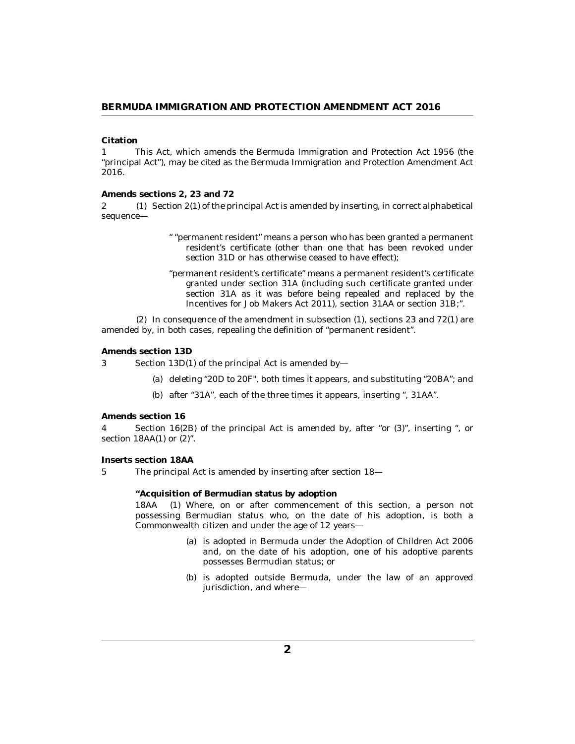### <span id="page-1-0"></span>**Citation**

This Act, which amends the Bermuda Immigration and Protection Act 1956 (the "principal Act"), may be cited as the Bermuda Immigration and Protection Amendment Act 2016. 1

#### **Amends sections 2, 23 and 72**

2 (1) Section 2(1) of the principal Act is amended by inserting, in correct alphabetical sequence—

- " "permanent resident" means a person who has been granted a permanent resident's certificate (other than one that has been revoked under section 31D or has otherwise ceased to have effect);
- "permanent resident's certificate" means a permanent resident's certificate granted under section 31A (including such certificate granted under section 31A as it was before being repealed and replaced by the Incentives for Job Makers Act 2011), section 31AA or section 31B;".

 $(2)$  In consequence of the amendment in subsection  $(1)$ , sections 23 and 72 $(1)$  are amended by, in both cases, repealing the definition of "permanent resident".

#### **Amends section 13D**

Section 13D(1) of the principal Act is amended by— 3

- (a) deleting "20D to 20F", both times it appears, and substituting "20BA"; and
- (b) after "31A", each of the three times it appears, inserting ", 31AA".

#### **Amends section 16**

Section 16(2B) of the principal Act is amended by, after "or (3)", inserting ", or section  $18AA(1)$  or  $(2)$ ". 4

#### **Inserts section 18AA**

5

The principal Act is amended by inserting after section 18—

**"Acquisition of Bermudian status by adoption**

Where, on or after commencement of this section, a person not possessing Bermudian status who, on the date of his adoption, is both a Commonwealth citizen and under the age of 12 years— 18AA

- (a) is adopted in Bermuda under the Adoption of Children Act 2006 and, on the date of his adoption, one of his adoptive parents possesses Bermudian status; or
- (b) is adopted outside Bermuda, under the law of an approved jurisdiction, and where—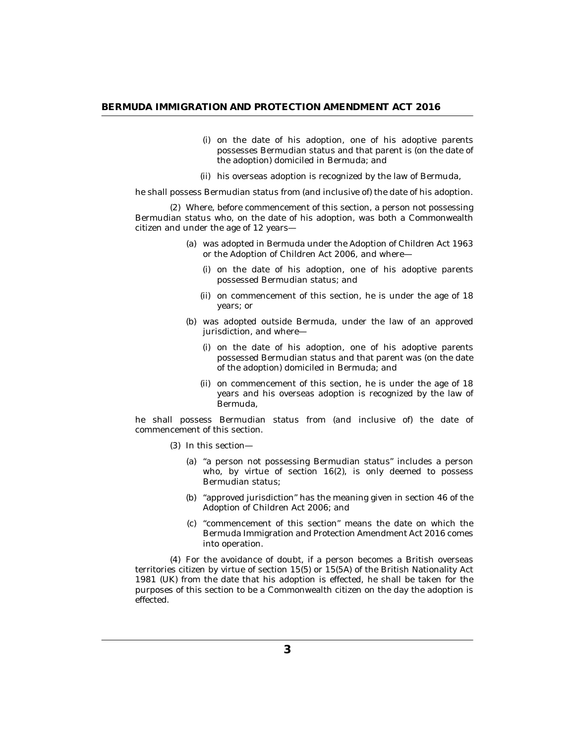- (i) on the date of his adoption, one of his adoptive parents possesses Bermudian status and that parent is (on the date of the adoption) domiciled in Bermuda; and
- (ii) his overseas adoption is recognized by the law of Bermuda,

he shall possess Bermudian status from (and inclusive of) the date of his adoption.

Where, before commencement of this section, a person not possessing (2) Bermudian status who, on the date of his adoption, was both a Commonwealth citizen and under the age of 12 years—

- was adopted in Bermuda under the Adoption of Children Act 1963 (a) or the Adoption of Children Act 2006, and where—
	- (i) on the date of his adoption, one of his adoptive parents possessed Bermudian status; and
	- (ii) on commencement of this section, he is under the age of 18 years; or
- (b) was adopted outside Bermuda, under the law of an approved jurisdiction, and where—
	- (i) on the date of his adoption, one of his adoptive parents possessed Bermudian status and that parent was (on the date of the adoption) domiciled in Bermuda; and
	- (ii) on commencement of this section, he is under the age of 18 years and his overseas adoption is recognized by the law of Bermuda,

he shall possess Bermudian status from (and inclusive of) the date of commencement of this section.

- (3) In this section-
	- (a) "a person not possessing Bermudian status" includes a person who, by virtue of section 16(2), is only deemed to possess Bermudian status;
	- (b) "approved jurisdiction" has the meaning given in section 46 of the Adoption of Children Act 2006; and
	- "commencement of this section" means the date on which the (c) Bermuda Immigration and Protection Amendment Act 2016 comes into operation.

For the avoidance of doubt, if a person becomes a British overseas (4) territories citizen by virtue of section 15(5) or 15(5A) of the British Nationality Act 1981 (UK) from the date that his adoption is effected, he shall be taken for the purposes of this section to be a Commonwealth citizen on the day the adoption is effected.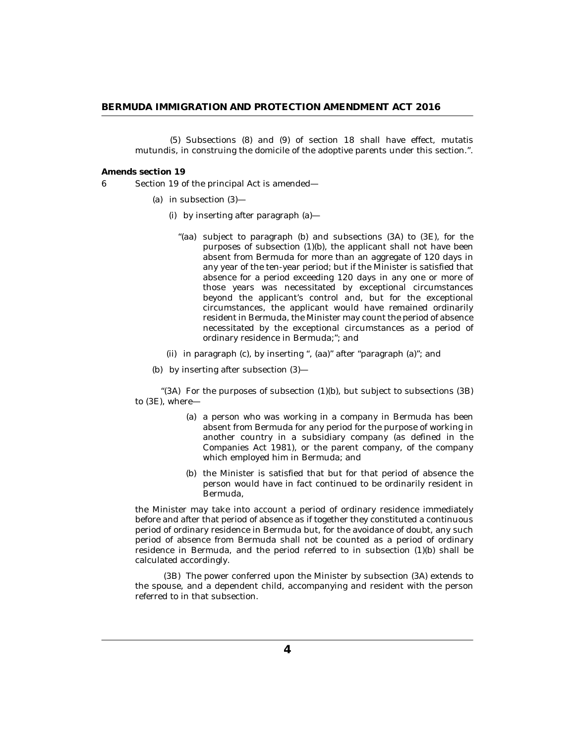<span id="page-3-0"></span>(5) Subsections (8) and (9) of section 18 shall have effect, mutatis mutundis, in construing the domicile of the adoptive parents under this section.".

**Amends section 19**

- Section 19 of the principal Act is amended— 6
	- (a) in subsection  $(3)$ 
		- by inserting after paragraph (a)— (i)
			- "(aa) subject to paragraph (b) and subsections (3A) to (3E), for the purposes of subsection (1)(b), the applicant shall not have been absent from Bermuda for more than an aggregate of 120 days in any year of the ten-year period; but if the Minister is satisfied that absence for a period exceeding 120 days in any one or more of those years was necessitated by exceptional circumstances beyond the applicant's control and, but for the exceptional circumstances, the applicant would have remained ordinarily resident in Bermuda, the Minister may count the period of absence necessitated by the exceptional circumstances as a period of ordinary residence in Bermuda;"; and
		- in paragraph (c), by inserting ", (aa)" after "paragraph (a)"; and (ii)
	- by inserting after subsection (3)— (b)

" $(3A)$  For the purposes of subsection  $(1)(b)$ , but subject to subsections  $(3B)$ to (3E), where—

- (a) a person who was working in a company in Bermuda has been absent from Bermuda for any period for the purpose of working in another country in a subsidiary company (as defined in the Companies Act 1981), or the parent company, of the company which employed him in Bermuda; and
- (b) the Minister is satisfied that but for that period of absence the person would have in fact continued to be ordinarily resident in Bermuda,

the Minister may take into account a period of ordinary residence immediately before and after that period of absence as if together they constituted a continuous period of ordinary residence in Bermuda but, for the avoidance of doubt, any such period of absence from Bermuda shall not be counted as a period of ordinary residence in Bermuda, and the period referred to in subsection (1)(b) shall be calculated accordingly.

(3B) The power conferred upon the Minister by subsection (3A) extends to the spouse, and a dependent child, accompanying and resident with the person referred to in that subsection.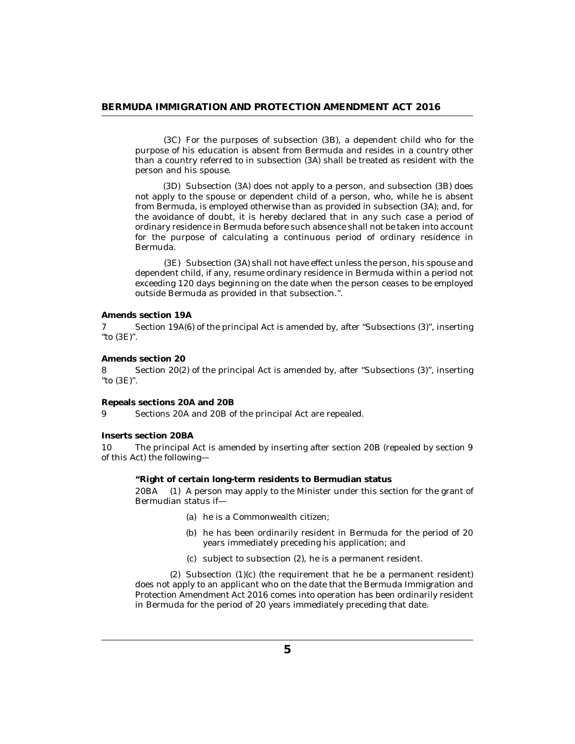<span id="page-4-0"></span>For the purposes of subsection (3B), a dependent child who for the (3C) purpose of his education is absent from Bermuda and resides in a country other than a country referred to in subsection (3A) shall be treated as resident with the person and his spouse.

(3D) Subsection (3A) does not apply to a person, and subsection (3B) does not apply to the spouse or dependent child of a person, who, while he is absent from Bermuda, is employed otherwise than as provided in subsection (3A); and, for the avoidance of doubt, it is hereby declared that in any such case a period of ordinary residence in Bermuda before such absence shall not be taken into account for the purpose of calculating a continuous period of ordinary residence in Bermuda.

(3E) Subsection (3A) shall not have effect unless the person, his spouse and dependent child, if any, resume ordinary residence in Bermuda within a period not exceeding 120 days beginning on the date when the person ceases to be employed outside Bermuda as provided in that subsection.".

**Amends section 19A**

Section 19A(6) of the principal Act is amended by, after "Subsections (3)", inserting "to (3E)". 7

**Amends section 20**

Section 20(2) of the principal Act is amended by, after "Subsections (3)", inserting "to (3E)". 8

**Repeals sections 20A and 20B**

Sections 20A and 20B of the principal Act are repealed. 9

**Inserts section 20BA**

The principal Act is amended by inserting after section 20B (repealed by section 9 of this Act) the following— 10

**"Right of certain long-term residents to Bermudian status**

20BA (1) A person may apply to the Minister under this section for the grant of Bermudian status if—

- (a) he is a Commonwealth citizen;
- (b) he has been ordinarily resident in Bermuda for the period of 20 years immediately preceding his application; and
- $(c)$  subject to subsection  $(2)$ , he is a permanent resident.

 $(2)$  Subsection  $(1)(c)$  (the requirement that he be a permanent resident) does not apply to an applicant who on the date that the Bermuda Immigration and Protection Amendment Act 2016 comes into operation has been ordinarily resident in Bermuda for the period of 20 years immediately preceding that date.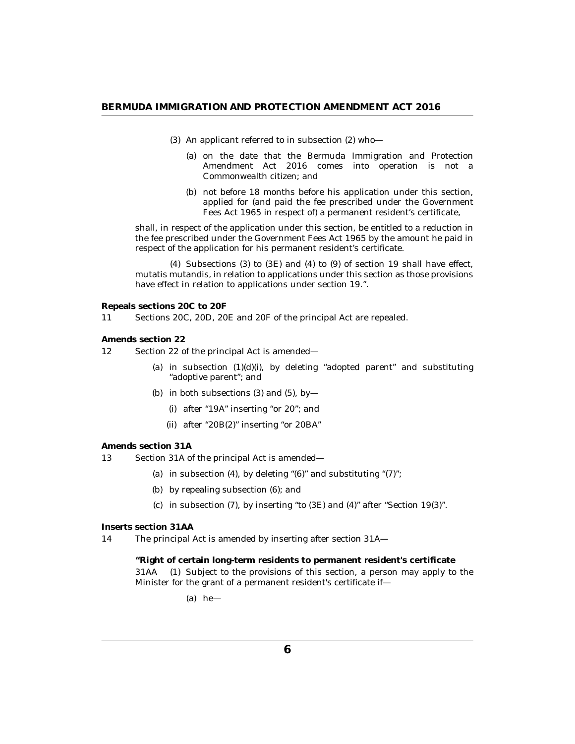- <span id="page-5-0"></span> $(3)$  An applicant referred to in subsection  $(2)$  who-
	- (a) on the date that the Bermuda Immigration and Protection Amendment Act 2016 comes into operation is not a Commonwealth citizen; and
	- (b) not before 18 months before his application under this section, applied for (and paid the fee prescribed under the Government Fees Act 1965 in respect of) a permanent resident's certificate,

shall, in respect of the application under this section, be entitled to a reduction in the fee prescribed under the Government Fees Act 1965 by the amount he paid in respect of the application for his permanent resident's certificate.

 $(4)$  Subsections  $(3)$  to  $(3E)$  and  $(4)$  to  $(9)$  of section 19 shall have effect, mutatis mutandis, in relation to applications under this section as those provisions have effect in relation to applications under section 19.".

**Repeals sections 20C to 20F**

Sections 20C, 20D, 20E and 20F of the principal Act are repealed. 11

**Amends section 22**

- Section 22 of the principal Act is amended— 12
	- (a) in subsection  $(1)(d)(i)$ , by deleting "adopted parent" and substituting "adoptive parent"; and
	- (b) in both subsections  $(3)$  and  $(5)$ , by
		- after "19A" inserting "or 20"; and (i)
		- $(ii)$  after "20B $(2)$ " inserting "or 20BA"

#### **Amends section 31A**

- Section 31A of the principal Act is amended— 13
	- (a) in subsection  $(4)$ , by deleting " $(6)$ " and substituting " $(7)$ ";
	- by repealing subsection (6); and (b)
	- (c) in subsection  $(7)$ , by inserting "to  $(3E)$  and  $(4)$ " after "Section 19 $(3)$ ".

**Inserts section 31AA**

The principal Act is amended by inserting after section 31A— 14

> **"Right of certain long-term residents to permanent resident's certificate** Subject to the provisions of this section, a person may apply to the Minister for the grant of a permanent resident's certificate if— 31AA

> > (a) he—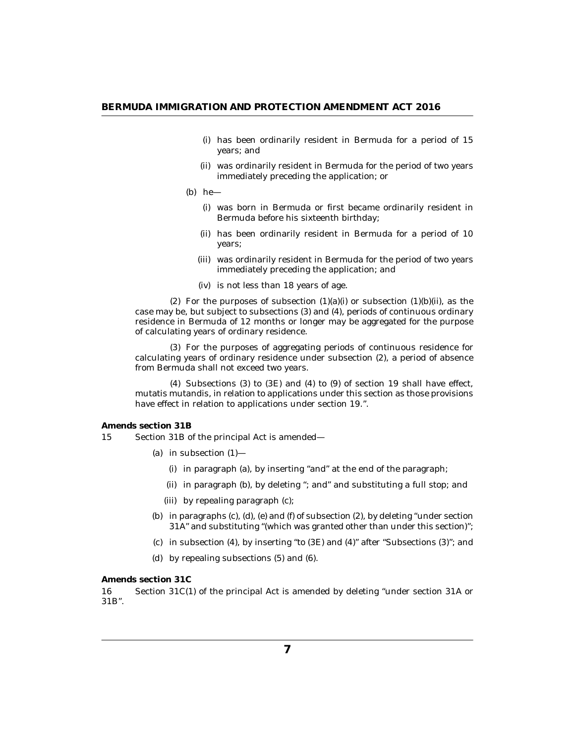- <span id="page-6-0"></span>(i) has been ordinarily resident in Bermuda for a period of 15 years; and
- was ordinarily resident in Bermuda for the period of two years (ii) immediately preceding the application; or
- (b)  $he$ 
	- was born in Bermuda or first became ordinarily resident in (i) Bermuda before his sixteenth birthday;
	- (ii) has been ordinarily resident in Bermuda for a period of 10 years;
	- (iii) was ordinarily resident in Bermuda for the period of two years immediately preceding the application; and
	- is not less than 18 years of age. (iv)

(2) For the purposes of subsection  $(1)(a)(i)$  or subsection  $(1)(b)(ii)$ , as the case may be, but subject to subsections (3) and (4), periods of continuous ordinary residence in Bermuda of 12 months or longer may be aggregated for the purpose of calculating years of ordinary residence.

(3) For the purposes of aggregating periods of continuous residence for calculating years of ordinary residence under subsection (2), a period of absence from Bermuda shall not exceed two years.

(4) Subsections  $(3)$  to  $(3E)$  and  $(4)$  to  $(9)$  of section 19 shall have effect, mutatis mutandis, in relation to applications under this section as those provisions have effect in relation to applications under section 19.".

**Amends section 31B**

Section 31B of the principal Act is amended— 15

- (a) in subsection  $(1)$ 
	- in paragraph (a), by inserting "and" at the end of the paragraph; (i)
	- (ii) in paragraph (b), by deleting "; and" and substituting a full stop; and
	- by repealing paragraph (c); (iii)
- (b) in paragraphs  $(c)$ ,  $(d)$ ,  $(e)$  and  $(f)$  of subsection  $(2)$ , by deleting "under section 31A" and substituting "(which was granted other than under this section)";
- $\alpha$  in subsection (4), by inserting "to (3E) and (4)" after "Subsections (3)"; and
- by repealing subsections (5) and (6). (d)

**Amends section 31C**

Section 31C(1) of the principal Act is amended by deleting "under section 31A or 31B". 16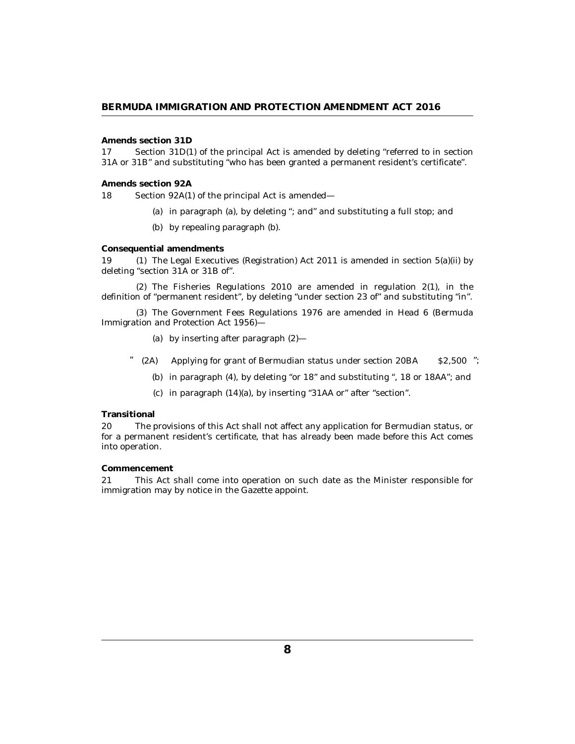#### <span id="page-7-0"></span>**Amends section 31D**

Section 31D(1) of the principal Act is amended by deleting "referred to in section 31A or 31B" and substituting "who has been granted a permanent resident's certificate". 17

#### **Amends section 92A**

Section 92A(1) of the principal Act is amended— 18

- (a) in paragraph (a), by deleting "; and" and substituting a full stop; and
- by repealing paragraph (b). (b)

#### **Consequential amendments**

19 (1) The Legal Executives (Registration) Act 2011 is amended in section 5(a)(ii) by deleting "section 31A or 31B of".

 $(2)$  The Fisheries Regulations 2010 are amended in regulation  $2(1)$ , in the definition of "permanent resident", by deleting "under section 23 of" and substituting "in".

The Government Fees Regulations 1976 are amended in Head 6 (Bermuda (3) Immigration and Protection Act 1956)—

- by inserting after paragraph (2)— (a)
- $(2A)$  Applying for grant of Bermudian status under section 20BA  $$2,500$  ";
	- (b) in paragraph  $(4)$ , by deleting "or  $18$ " and substituting ",  $18$  or  $18AA$ "; and
	- $(c)$  in paragraph  $(14)(a)$ , by inserting "31AA or" after "section".

#### **Transitional**

The provisions of this Act shall not affect any application for Bermudian status, or for a permanent resident's certificate, that has already been made before this Act comes into operation. 20

#### **Commencement**

This Act shall come into operation on such date as the Minister responsible for immigration may by notice in the Gazette appoint. 21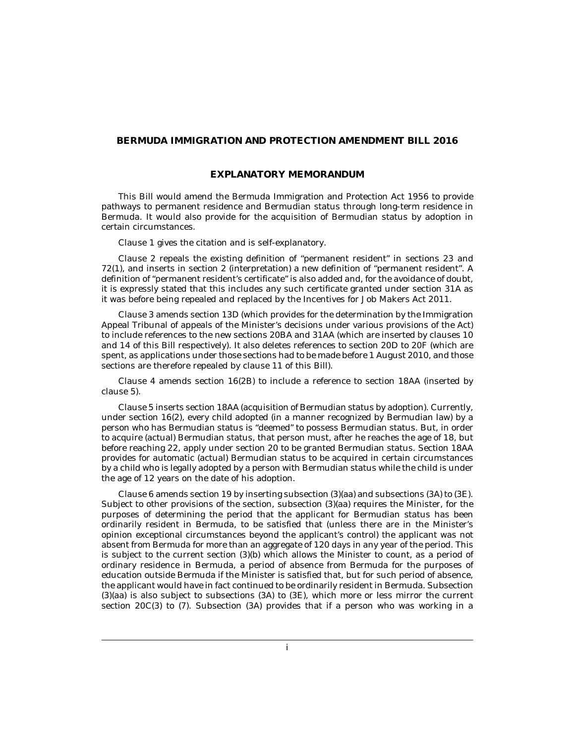#### **BERMUDA IMMIGRATION AND PROTECTION AMENDMENT BILL 2016**

# **EXPLANATORY MEMORANDUM**

This Bill would amend the Bermuda Immigration and Protection Act 1956 to provide pathways to permanent residence and Bermudian status through long-term residence in Bermuda. It would also provide for the acquisition of Bermudian status by adoption in certain circumstances.

Clause 1 gives the citation and is self-explanatory.

Clause 2 repeals the existing definition of "permanent resident" in sections 23 and 72(1), and inserts in section 2 (interpretation) a new definition of "permanent resident". A definition of "permanent resident's certificate" is also added and, for the avoidance of doubt, it is expressly stated that this includes any such certificate granted under section 31A as it was before being repealed and replaced by the Incentives for Job Makers Act 2011.

Clause 3 amends section 13D (which provides for the determination by the Immigration Appeal Tribunal of appeals of the Minister's decisions under various provisions of the Act) to include references to the new sections 20BA and 31AA (which are inserted by clauses 10 and 14 of this Bill respectively). It also deletes references to section 20D to 20F (which are spent, as applications under those sections had to be made before 1 August 2010, and those sections are therefore repealed by clause 11 of this Bill).

Clause 4 amends section 16(2B) to include a reference to section 18AA (inserted by clause 5).

Clause 5 inserts section 18AA (acquisition of Bermudian status by adoption). Currently, under section 16(2), every child adopted (in a manner recognized by Bermudian law) by a person who has Bermudian status is "deemed" to possess Bermudian status. But, in order to acquire (actual) Bermudian status, that person must, after he reaches the age of 18, but before reaching 22, apply under section 20 to be granted Bermudian status. Section 18AA provides for automatic (actual) Bermudian status to be acquired in certain circumstances by a child who is legally adopted by a person with Bermudian status while the child is under the age of 12 years on the date of his adoption.

Clause 6 amends section 19 by inserting subsection (3)(aa) and subsections (3A) to (3E). Subject to other provisions of the section, subsection (3)(aa) requires the Minister, for the purposes of determining the period that the applicant for Bermudian status has been ordinarily resident in Bermuda, to be satisfied that (unless there are in the Minister's opinion exceptional circumstances beyond the applicant's control) the applicant was not absent from Bermuda for more than an aggregate of 120 days in any year of the period. This is subject to the current section (3)(b) which allows the Minister to count, as a period of ordinary residence in Bermuda, a period of absence from Bermuda for the purposes of education outside Bermuda if the Minister is satisfied that, but for such period of absence, the applicant would have in fact continued to be ordinarily resident in Bermuda. Subsection (3)(aa) is also subject to subsections (3A) to (3E), which more or less mirror the current section 20C(3) to (7). Subsection (3A) provides that if a person who was working in a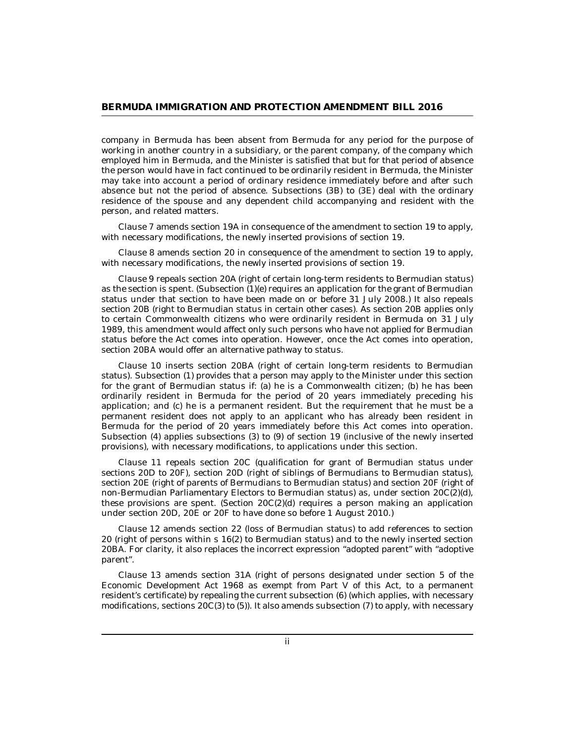company in Bermuda has been absent from Bermuda for any period for the purpose of working in another country in a subsidiary, or the parent company, of the company which employed him in Bermuda, and the Minister is satisfied that but for that period of absence the person would have in fact continued to be ordinarily resident in Bermuda, the Minister may take into account a period of ordinary residence immediately before and after such absence but not the period of absence. Subsections (3B) to (3E) deal with the ordinary residence of the spouse and any dependent child accompanying and resident with the person, and related matters.

Clause 7 amends section 19A in consequence of the amendment to section 19 to apply, with necessary modifications, the newly inserted provisions of section 19.

Clause 8 amends section 20 in consequence of the amendment to section 19 to apply, with necessary modifications, the newly inserted provisions of section 19.

Clause 9 repeals section 20A (right of certain long-term residents to Bermudian status) as the section is spent. (Subsection  $(1)(e)$  requires an application for the grant of Bermudian status under that section to have been made on or before 31 July 2008.) It also repeals section 20B (right to Bermudian status in certain other cases). As section 20B applies only to certain Commonwealth citizens who were ordinarily resident in Bermuda on 31 July 1989, this amendment would affect only such persons who have not applied for Bermudian status before the Act comes into operation. However, once the Act comes into operation, section 20BA would offer an alternative pathway to status.

Clause 10 inserts section 20BA (right of certain long-term residents to Bermudian status). Subsection (1) provides that a person may apply to the Minister under this section for the grant of Bermudian status if: (a) he is a Commonwealth citizen; (b) he has been ordinarily resident in Bermuda for the period of 20 years immediately preceding his application; and (c) he is a permanent resident. But the requirement that he must be a permanent resident does not apply to an applicant who has already been resident in Bermuda for the period of 20 years immediately before this Act comes into operation. Subsection (4) applies subsections (3) to (9) of section 19 (inclusive of the newly inserted provisions), with necessary modifications, to applications under this section.

Clause 11 repeals section 20C (qualification for grant of Bermudian status under sections 20D to 20F), section 20D (right of siblings of Bermudians to Bermudian status), section 20E (right of parents of Bermudians to Bermudian status) and section 20F (right of non-Bermudian Parliamentary Electors to Bermudian status) as, under section 20C(2)(d), these provisions are spent. (Section  $20C(2)$ (d) requires a person making an application under section 20D, 20E or 20F to have done so before 1 August 2010.)

Clause 12 amends section 22 (loss of Bermudian status) to add references to section 20 (right of persons within s 16(2) to Bermudian status) and to the newly inserted section 20BA. For clarity, it also replaces the incorrect expression "adopted parent" with "adoptive parent".

Clause 13 amends section 31A (right of persons designated under section 5 of the Economic Development Act 1968 as exempt from Part V of this Act, to a permanent resident's certificate) by repealing the current subsection (6) (which applies, with necessary modifications, sections 20C(3) to (5)). It also amends subsection (7) to apply, with necessary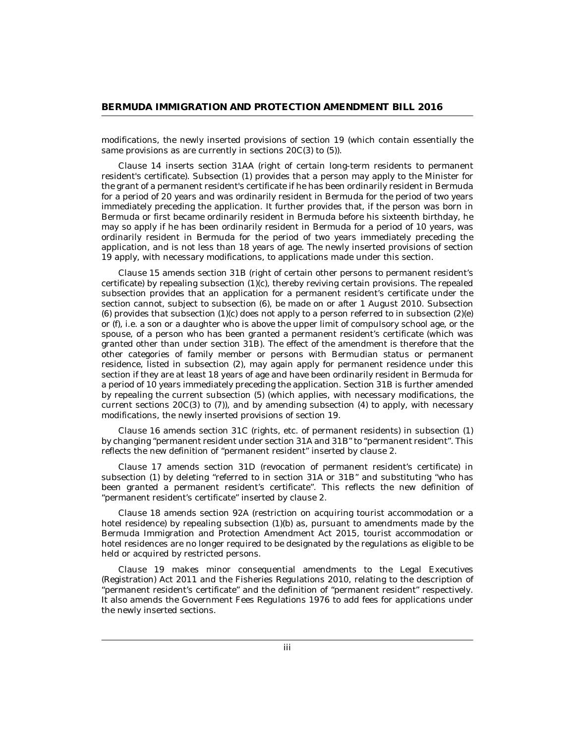modifications, the newly inserted provisions of section 19 (which contain essentially the same provisions as are currently in sections 20C(3) to (5)).

Clause 14 inserts section 31AA (right of certain long-term residents to permanent resident's certificate). Subsection (1) provides that a person may apply to the Minister for the grant of a permanent resident's certificate if he has been ordinarily resident in Bermuda for a period of 20 years and was ordinarily resident in Bermuda for the period of two years immediately preceding the application. It further provides that, if the person was born in Bermuda or first became ordinarily resident in Bermuda before his sixteenth birthday, he may so apply if he has been ordinarily resident in Bermuda for a period of 10 years, was ordinarily resident in Bermuda for the period of two years immediately preceding the application, and is not less than 18 years of age. The newly inserted provisions of section 19 apply, with necessary modifications, to applications made under this section.

Clause 15 amends section 31B (right of certain other persons to permanent resident's certificate) by repealing subsection (1)(c), thereby reviving certain provisions. The repealed subsection provides that an application for a permanent resident's certificate under the section cannot, subject to subsection (6), be made on or after 1 August 2010. Subsection (6) provides that subsection  $(1)(c)$  does not apply to a person referred to in subsection  $(2)(e)$ or (f), i.e. a son or a daughter who is above the upper limit of compulsory school age, or the spouse, of a person who has been granted a permanent resident's certificate (which was granted other than under section 31B). The effect of the amendment is therefore that the other categories of family member or persons with Bermudian status or permanent residence, listed in subsection (2), may again apply for permanent residence under this section if they are at least 18 years of age and have been ordinarily resident in Bermuda for a period of 10 years immediately preceding the application. Section 31B is further amended by repealing the current subsection (5) (which applies, with necessary modifications, the current sections 20C(3) to (7)), and by amending subsection (4) to apply, with necessary modifications, the newly inserted provisions of section 19.

Clause 16 amends section 31C (rights, etc. of permanent residents) in subsection (1) by changing "permanent resident under section 31A and 31B" to "permanent resident". This reflects the new definition of "permanent resident" inserted by clause 2.

Clause 17 amends section 31D (revocation of permanent resident's certificate) in subsection (1) by deleting "referred to in section 31A or 31B" and substituting "who has been granted a permanent resident's certificate". This reflects the new definition of "permanent resident's certificate" inserted by clause 2.

Clause 18 amends section 92A (restriction on acquiring tourist accommodation or a hotel residence) by repealing subsection (1)(b) as, pursuant to amendments made by the Bermuda Immigration and Protection Amendment Act 2015, tourist accommodation or hotel residences are no longer required to be designated by the regulations as eligible to be held or acquired by restricted persons.

Clause 19 makes minor consequential amendments to the Legal Executives (Registration) Act 2011 and the Fisheries Regulations 2010, relating to the description of "permanent resident's certificate" and the definition of "permanent resident" respectively. It also amends the Government Fees Regulations 1976 to add fees for applications under the newly inserted sections.